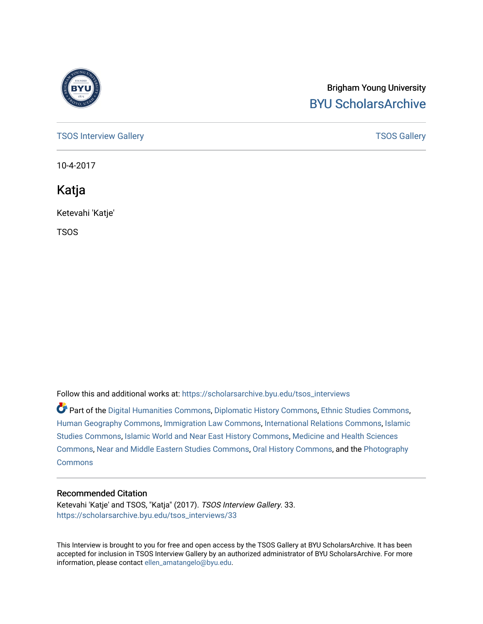

## Brigham Young University [BYU ScholarsArchive](https://scholarsarchive.byu.edu/)

[TSOS Interview Gallery](https://scholarsarchive.byu.edu/tsos_interviews) **TSOS** Gallery

10-4-2017

Katja

Ketevahi 'Katje'

TSOS

Follow this and additional works at: [https://scholarsarchive.byu.edu/tsos\\_interviews](https://scholarsarchive.byu.edu/tsos_interviews?utm_source=scholarsarchive.byu.edu%2Ftsos_interviews%2F33&utm_medium=PDF&utm_campaign=PDFCoverPages) 

Part of the [Digital Humanities Commons](http://network.bepress.com/hgg/discipline/1286?utm_source=scholarsarchive.byu.edu%2Ftsos_interviews%2F33&utm_medium=PDF&utm_campaign=PDFCoverPages), [Diplomatic History Commons,](http://network.bepress.com/hgg/discipline/497?utm_source=scholarsarchive.byu.edu%2Ftsos_interviews%2F33&utm_medium=PDF&utm_campaign=PDFCoverPages) [Ethnic Studies Commons,](http://network.bepress.com/hgg/discipline/570?utm_source=scholarsarchive.byu.edu%2Ftsos_interviews%2F33&utm_medium=PDF&utm_campaign=PDFCoverPages) [Human Geography Commons](http://network.bepress.com/hgg/discipline/356?utm_source=scholarsarchive.byu.edu%2Ftsos_interviews%2F33&utm_medium=PDF&utm_campaign=PDFCoverPages), [Immigration Law Commons](http://network.bepress.com/hgg/discipline/604?utm_source=scholarsarchive.byu.edu%2Ftsos_interviews%2F33&utm_medium=PDF&utm_campaign=PDFCoverPages), [International Relations Commons,](http://network.bepress.com/hgg/discipline/389?utm_source=scholarsarchive.byu.edu%2Ftsos_interviews%2F33&utm_medium=PDF&utm_campaign=PDFCoverPages) [Islamic](http://network.bepress.com/hgg/discipline/1346?utm_source=scholarsarchive.byu.edu%2Ftsos_interviews%2F33&utm_medium=PDF&utm_campaign=PDFCoverPages) [Studies Commons,](http://network.bepress.com/hgg/discipline/1346?utm_source=scholarsarchive.byu.edu%2Ftsos_interviews%2F33&utm_medium=PDF&utm_campaign=PDFCoverPages) [Islamic World and Near East History Commons](http://network.bepress.com/hgg/discipline/493?utm_source=scholarsarchive.byu.edu%2Ftsos_interviews%2F33&utm_medium=PDF&utm_campaign=PDFCoverPages), [Medicine and Health Sciences](http://network.bepress.com/hgg/discipline/648?utm_source=scholarsarchive.byu.edu%2Ftsos_interviews%2F33&utm_medium=PDF&utm_campaign=PDFCoverPages)  [Commons](http://network.bepress.com/hgg/discipline/648?utm_source=scholarsarchive.byu.edu%2Ftsos_interviews%2F33&utm_medium=PDF&utm_campaign=PDFCoverPages), [Near and Middle Eastern Studies Commons](http://network.bepress.com/hgg/discipline/1308?utm_source=scholarsarchive.byu.edu%2Ftsos_interviews%2F33&utm_medium=PDF&utm_campaign=PDFCoverPages), [Oral History Commons](http://network.bepress.com/hgg/discipline/1195?utm_source=scholarsarchive.byu.edu%2Ftsos_interviews%2F33&utm_medium=PDF&utm_campaign=PDFCoverPages), and the [Photography](http://network.bepress.com/hgg/discipline/1142?utm_source=scholarsarchive.byu.edu%2Ftsos_interviews%2F33&utm_medium=PDF&utm_campaign=PDFCoverPages)  **[Commons](http://network.bepress.com/hgg/discipline/1142?utm_source=scholarsarchive.byu.edu%2Ftsos_interviews%2F33&utm_medium=PDF&utm_campaign=PDFCoverPages)** 

## Recommended Citation

Ketevahi 'Katje' and TSOS, "Katja" (2017). TSOS Interview Gallery. 33. [https://scholarsarchive.byu.edu/tsos\\_interviews/33](https://scholarsarchive.byu.edu/tsos_interviews/33?utm_source=scholarsarchive.byu.edu%2Ftsos_interviews%2F33&utm_medium=PDF&utm_campaign=PDFCoverPages)

This Interview is brought to you for free and open access by the TSOS Gallery at BYU ScholarsArchive. It has been accepted for inclusion in TSOS Interview Gallery by an authorized administrator of BYU ScholarsArchive. For more information, please contact [ellen\\_amatangelo@byu.edu.](mailto:ellen_amatangelo@byu.edu)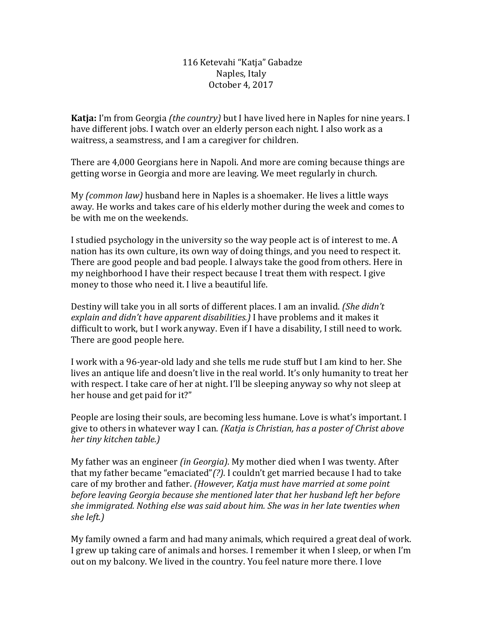116 Ketevahi "Katja" Gabadze Naples, Italy October 4, 2017

**Katja:** I'm from Georgia *(the country)* but I have lived here in Naples for nine years. I have different jobs. I watch over an elderly person each night. I also work as a waitress, a seamstress, and I am a caregiver for children.

There are 4,000 Georgians here in Napoli. And more are coming because things are getting worse in Georgia and more are leaving. We meet regularly in church.

My *(common law)* husband here in Naples is a shoemaker. He lives a little ways away. He works and takes care of his elderly mother during the week and comes to be with me on the weekends.

I studied psychology in the university so the way people act is of interest to me. A nation has its own culture, its own way of doing things, and you need to respect it. There are good people and bad people. I always take the good from others. Here in my neighborhood I have their respect because I treat them with respect. I give money to those who need it. I live a beautiful life.

Destiny will take you in all sorts of different places. I am an invalid. *(She didn't explain and didn't have apparent disabilities.)* I have problems and it makes it difficult to work, but I work anyway. Even if I have a disability, I still need to work. There are good people here.

I work with a 96-year-old lady and she tells me rude stuff but I am kind to her. She lives an antique life and doesn't live in the real world. It's only humanity to treat her with respect. I take care of her at night. I'll be sleeping anyway so why not sleep at her house and get paid for it?"

People are losing their souls, are becoming less humane. Love is what's important. I give to others in whatever way I can. *(Katja is Christian, has a poster of Christ above her tiny kitchen table.)*

My father was an engineer *(in Georgia)*. My mother died when I was twenty. After that my father became "emaciated"*(?)*. I couldn't get married because I had to take care of my brother and father. *(However, Katja must have married at some point before leaving Georgia because she mentioned later that her husband left her before she immigrated. Nothing else was said about him. She was in her late twenties when she left.)*

My family owned a farm and had many animals, which required a great deal of work. I grew up taking care of animals and horses. I remember it when I sleep, or when I'm out on my balcony. We lived in the country. You feel nature more there. I love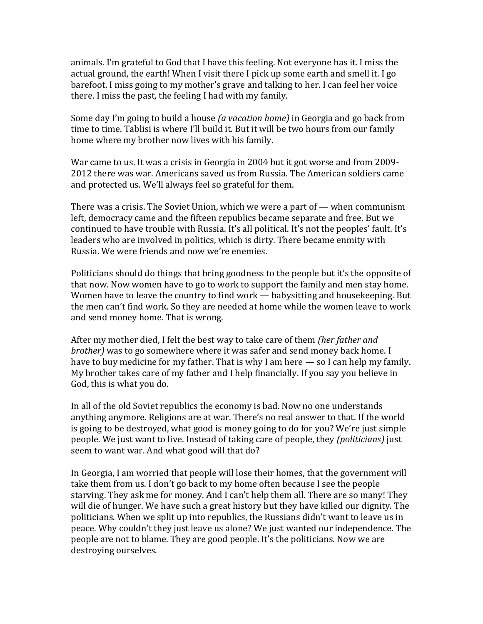animals. I'm grateful to God that I have this feeling. Not everyone has it. I miss the actual ground, the earth! When I visit there I pick up some earth and smell it. I go barefoot. I miss going to my mother's grave and talking to her. I can feel her voice there. I miss the past, the feeling I had with my family.

Some day I'm going to build a house *(a vacation home)* in Georgia and go back from time to time. Tablisi is where I'll build it. But it will be two hours from our family home where my brother now lives with his family.

War came to us. It was a crisis in Georgia in 2004 but it got worse and from 2009- 2012 there was war. Americans saved us from Russia. The American soldiers came and protected us. We'll always feel so grateful for them.

There was a crisis. The Soviet Union, which we were a part of  $-$  when communism left, democracy came and the fifteen republics became separate and free. But we continued to have trouble with Russia. It's all political. It's not the peoples' fault. It's leaders who are involved in politics, which is dirty. There became enmity with Russia. We were friends and now we're enemies.

Politicians should do things that bring goodness to the people but it's the opposite of that now. Now women have to go to work to support the family and men stay home. Women have to leave the country to find work — babysitting and housekeeping. But the men can't find work. So they are needed at home while the women leave to work and send money home. That is wrong.

After my mother died, I felt the best way to take care of them *(her father and brother)* was to go somewhere where it was safer and send money back home. I have to buy medicine for my father. That is why I am here — so I can help my family. My brother takes care of my father and I help financially. If you say you believe in God, this is what you do.

In all of the old Soviet republics the economy is bad. Now no one understands anything anymore. Religions are at war. There's no real answer to that. If the world is going to be destroyed, what good is money going to do for you? We're just simple people. We just want to live. Instead of taking care of people, they *(politicians)* just seem to want war. And what good will that do?

In Georgia, I am worried that people will lose their homes, that the government will take them from us. I don't go back to my home often because I see the people starving. They ask me for money. And I can't help them all. There are so many! They will die of hunger. We have such a great history but they have killed our dignity. The politicians. When we split up into republics, the Russians didn't want to leave us in peace. Why couldn't they just leave us alone? We just wanted our independence. The people are not to blame. They are good people. It's the politicians. Now we are destroying ourselves.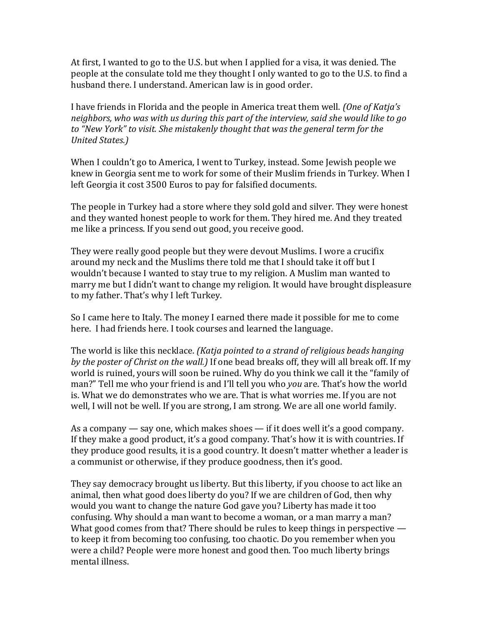At first, I wanted to go to the U.S. but when I applied for a visa, it was denied. The people at the consulate told me they thought I only wanted to go to the U.S. to find a husband there. I understand. American law is in good order.

I have friends in Florida and the people in America treat them well. *(One of Katja's neighbors, who was with us during this part of the interview, said she would like to go to "New York" to visit. She mistakenly thought that was the general term for the United States.)*

When I couldn't go to America, I went to Turkey, instead. Some Jewish people we knew in Georgia sent me to work for some of their Muslim friends in Turkey. When I left Georgia it cost 3500 Euros to pay for falsified documents.

The people in Turkey had a store where they sold gold and silver. They were honest and they wanted honest people to work for them. They hired me. And they treated me like a princess. If you send out good, you receive good.

They were really good people but they were devout Muslims. I wore a crucifix around my neck and the Muslims there told me that I should take it off but I wouldn't because I wanted to stay true to my religion. A Muslim man wanted to marry me but I didn't want to change my religion. It would have brought displeasure to my father. That's why I left Turkey.

So I came here to Italy. The money I earned there made it possible for me to come here. I had friends here. I took courses and learned the language.

The world is like this necklace. *(Katja pointed to a strand of religious beads hanging by the poster of Christ on the wall.)* If one bead breaks off, they will all break off. If my world is ruined, yours will soon be ruined. Why do you think we call it the "family of man?" Tell me who your friend is and I'll tell you who *you* are. That's how the world is. What we do demonstrates who we are. That is what worries me. If you are not well, I will not be well. If you are strong, I am strong. We are all one world family.

As a company — say one, which makes shoes — if it does well it's a good company. If they make a good product, it's a good company. That's how it is with countries. If they produce good results, it is a good country. It doesn't matter whether a leader is a communist or otherwise, if they produce goodness, then it's good.

They say democracy brought us liberty. But this liberty, if you choose to act like an animal, then what good does liberty do you? If we are children of God, then why would you want to change the nature God gave you? Liberty has made it too confusing. Why should a man want to become a woman, or a man marry a man? What good comes from that? There should be rules to keep things in perspective to keep it from becoming too confusing, too chaotic. Do you remember when you were a child? People were more honest and good then. Too much liberty brings mental illness.